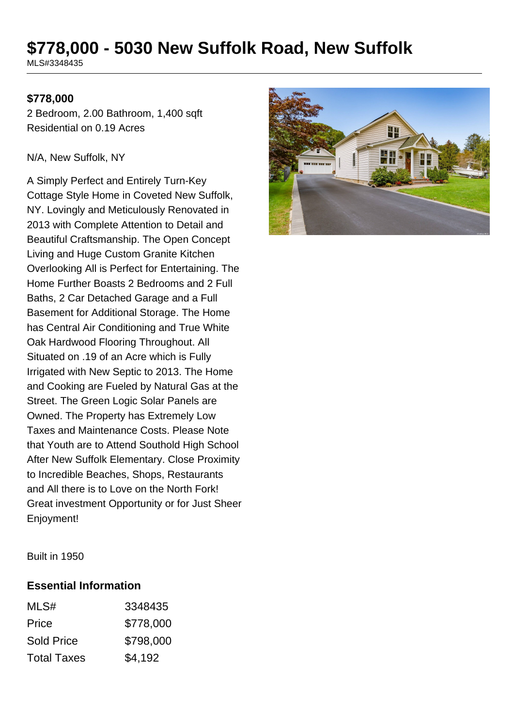# **\$778,000 - 5030 New Suffolk Road, New Suffolk**

MLS#3348435

#### **\$778,000**

2 Bedroom, 2.00 Bathroom, 1,400 sqft Residential on 0.19 Acres

#### N/A, New Suffolk, NY

A Simply Perfect and Entirely Turn-Key Cottage Style Home in Coveted New Suffolk, NY. Lovingly and Meticulously Renovated in 2013 with Complete Attention to Detail and Beautiful Craftsmanship. The Open Concept Living and Huge Custom Granite Kitchen Overlooking All is Perfect for Entertaining. The Home Further Boasts 2 Bedrooms and 2 Full Baths, 2 Car Detached Garage and a Full Basement for Additional Storage. The Home has Central Air Conditioning and True White Oak Hardwood Flooring Throughout. All Situated on .19 of an Acre which is Fully Irrigated with New Septic to 2013. The Home and Cooking are Fueled by Natural Gas at the Street. The Green Logic Solar Panels are Owned. The Property has Extremely Low Taxes and Maintenance Costs. Please Note that Youth are to Attend Southold High School After New Suffolk Elementary. Close Proximity to Incredible Beaches, Shops, Restaurants and All there is to Love on the North Fork! Great investment Opportunity or for Just Sheer Enjoyment!



Built in 1950

#### **Essential Information**

| MLS#               | 3348435   |
|--------------------|-----------|
| Price              | \$778,000 |
| <b>Sold Price</b>  | \$798,000 |
| <b>Total Taxes</b> | \$4,192   |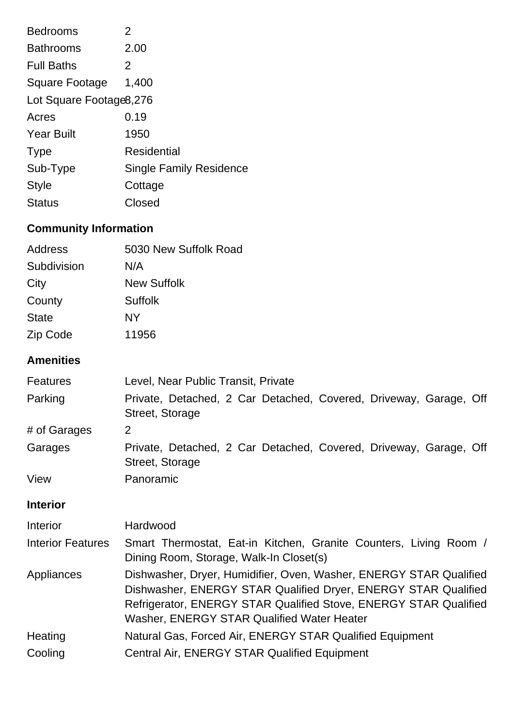| <b>Bedrooms</b>              | 2                                                                                                                                                                                                                                                      |
|------------------------------|--------------------------------------------------------------------------------------------------------------------------------------------------------------------------------------------------------------------------------------------------------|
| <b>Bathrooms</b>             | 2.00                                                                                                                                                                                                                                                   |
| <b>Full Baths</b>            | $\overline{2}$                                                                                                                                                                                                                                         |
| <b>Square Footage</b>        | 1,400                                                                                                                                                                                                                                                  |
| Lot Square Footage8,276      |                                                                                                                                                                                                                                                        |
| Acres                        | 0.19                                                                                                                                                                                                                                                   |
| <b>Year Built</b>            | 1950                                                                                                                                                                                                                                                   |
| <b>Type</b>                  | <b>Residential</b>                                                                                                                                                                                                                                     |
| Sub-Type                     | <b>Single Family Residence</b>                                                                                                                                                                                                                         |
| <b>Style</b>                 | Cottage                                                                                                                                                                                                                                                |
| <b>Status</b>                | Closed                                                                                                                                                                                                                                                 |
| <b>Community Information</b> |                                                                                                                                                                                                                                                        |
| <b>Address</b>               | 5030 New Suffolk Road                                                                                                                                                                                                                                  |
| Subdivision                  | N/A                                                                                                                                                                                                                                                    |
| City                         | <b>New Suffolk</b>                                                                                                                                                                                                                                     |
| County                       | <b>Suffolk</b>                                                                                                                                                                                                                                         |
| <b>State</b>                 | NY.                                                                                                                                                                                                                                                    |
| Zip Code                     | 11956                                                                                                                                                                                                                                                  |
| <b>Amenities</b>             |                                                                                                                                                                                                                                                        |
| <b>Features</b>              | Level, Near Public Transit, Private                                                                                                                                                                                                                    |
| Parking                      | Private, Detached, 2 Car Detached, Covered, Driveway, Garage, Off<br>Street, Storage                                                                                                                                                                   |
| # of Garages                 | 2                                                                                                                                                                                                                                                      |
| Garages                      | Private, Detached, 2 Car Detached, Covered, Driveway, Garage, Off<br>Street, Storage                                                                                                                                                                   |
| View                         | Panoramic                                                                                                                                                                                                                                              |
| <b>Interior</b>              |                                                                                                                                                                                                                                                        |
| Interior                     | Hardwood                                                                                                                                                                                                                                               |
| <b>Interior Features</b>     | Smart Thermostat, Eat-in Kitchen, Granite Counters, Living Room /<br>Dining Room, Storage, Walk-In Closet(s)                                                                                                                                           |
| Appliances                   | Dishwasher, Dryer, Humidifier, Oven, Washer, ENERGY STAR Qualified<br>Dishwasher, ENERGY STAR Qualified Dryer, ENERGY STAR Qualified<br>Refrigerator, ENERGY STAR Qualified Stove, ENERGY STAR Qualified<br>Washer, ENERGY STAR Qualified Water Heater |
| Heating                      | Natural Gas, Forced Air, ENERGY STAR Qualified Equipment                                                                                                                                                                                               |
| Cooling                      | Central Air, ENERGY STAR Qualified Equipment                                                                                                                                                                                                           |